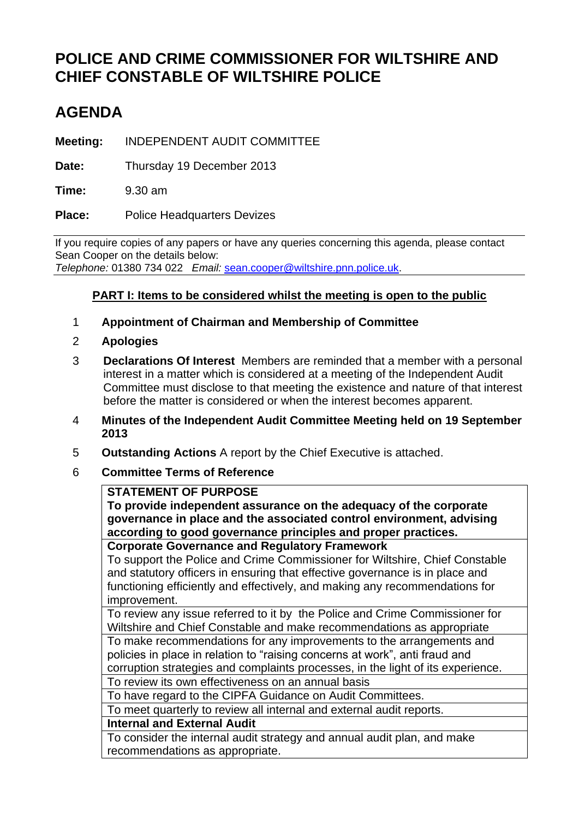# **POLICE AND CRIME COMMISSIONER FOR WILTSHIRE AND CHIEF CONSTABLE OF WILTSHIRE POLICE**

# **AGENDA**

**Meeting:** INDEPENDENT AUDIT COMMITTEE

**Date:** Thursday 19 December 2013

**Time:** 9.30 am

Place: Police Headquarters Devizes

If you require copies of any papers or have any queries concerning this agenda, please contact Sean Cooper on the details below: *Telephone:* 01380 734 022 *Email:* [sean.cooper@wiltshire.pnn.police.uk.](mailto:sean.cooper@wiltshire.pnn.police.uk)

## **PART I: Items to be considered whilst the meeting is open to the public**

- 1 **Appointment of Chairman and Membership of Committee**
- 2 **Apologies**
- 3 **Declarations Of Interest** Members are reminded that a member with a personal interest in a matter which is considered at a meeting of the Independent Audit Committee must disclose to that meeting the existence and nature of that interest before the matter is considered or when the interest becomes apparent.
- 4 **Minutes of the Independent Audit Committee Meeting held on 19 September 2013**
- 5 **Outstanding Actions** A report by the Chief Executive is attached.
- 6 **Committee Terms of Reference**

#### **STATEMENT OF PURPOSE**

**To provide independent assurance on the adequacy of the corporate governance in place and the associated control environment, advising according to good governance principles and proper practices.**

**Corporate Governance and Regulatory Framework**

To support the Police and Crime Commissioner for Wiltshire, Chief Constable and statutory officers in ensuring that effective governance is in place and functioning efficiently and effectively, and making any recommendations for improvement.

To review any issue referred to it by the Police and Crime Commissioner for Wiltshire and Chief Constable and make recommendations as appropriate

To make recommendations for any improvements to the arrangements and policies in place in relation to "raising concerns at work", anti fraud and corruption strategies and complaints processes, in the light of its experience.

To review its own effectiveness on an annual basis

To have regard to the CIPFA Guidance on Audit Committees.

To meet quarterly to review all internal and external audit reports.

**Internal and External Audit**

To consider the internal audit strategy and annual audit plan, and make recommendations as appropriate.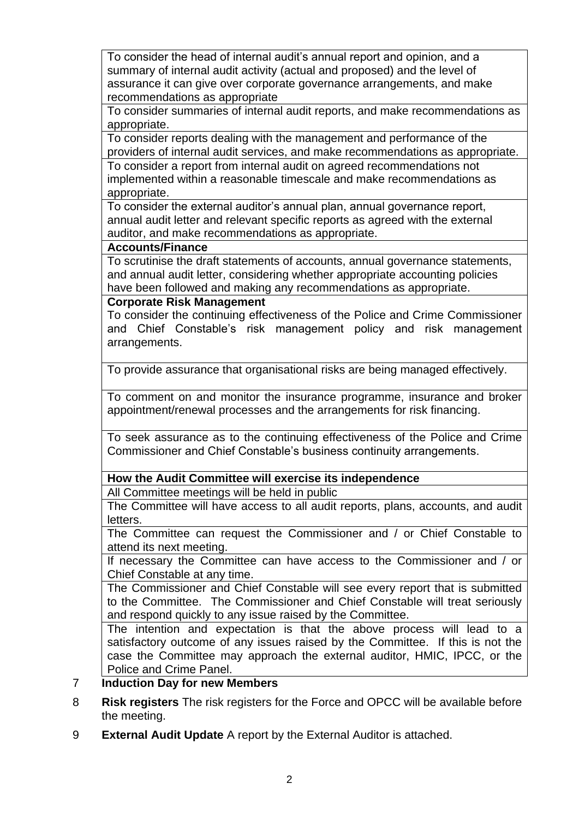To consider the head of internal audit's annual report and opinion, and a summary of internal audit activity (actual and proposed) and the level of assurance it can give over corporate governance arrangements, and make recommendations as appropriate

To consider summaries of internal audit reports, and make recommendations as appropriate.

To consider reports dealing with the management and performance of the providers of internal audit services, and make recommendations as appropriate.

To consider a report from internal audit on agreed recommendations not implemented within a reasonable timescale and make recommendations as appropriate.

To consider the external auditor's annual plan, annual governance report, annual audit letter and relevant specific reports as agreed with the external auditor, and make recommendations as appropriate.

### **Accounts/Finance**

To scrutinise the draft statements of accounts, annual governance statements, and annual audit letter, considering whether appropriate accounting policies have been followed and making any recommendations as appropriate.

### **Corporate Risk Management**

To consider the continuing effectiveness of the Police and Crime Commissioner and Chief Constable's risk management policy and risk management arrangements.

To provide assurance that organisational risks are being managed effectively.

To comment on and monitor the insurance programme, insurance and broker appointment/renewal processes and the arrangements for risk financing.

To seek assurance as to the continuing effectiveness of the Police and Crime Commissioner and Chief Constable's business continuity arrangements.

**How the Audit Committee will exercise its independence**

All Committee meetings will be held in public

The Committee will have access to all audit reports, plans, accounts, and audit letters.

The Committee can request the Commissioner and / or Chief Constable to attend its next meeting.

If necessary the Committee can have access to the Commissioner and / or Chief Constable at any time.

The Commissioner and Chief Constable will see every report that is submitted to the Committee. The Commissioner and Chief Constable will treat seriously and respond quickly to any issue raised by the Committee.

The intention and expectation is that the above process will lead to a satisfactory outcome of any issues raised by the Committee. If this is not the case the Committee may approach the external auditor, HMIC, IPCC, or the Police and Crime Panel.

## 7 **Induction Day for new Members**

- 8 **Risk registers** The risk registers for the Force and OPCC will be available before the meeting.
- 9 **External Audit Update** A report by the External Auditor is attached.